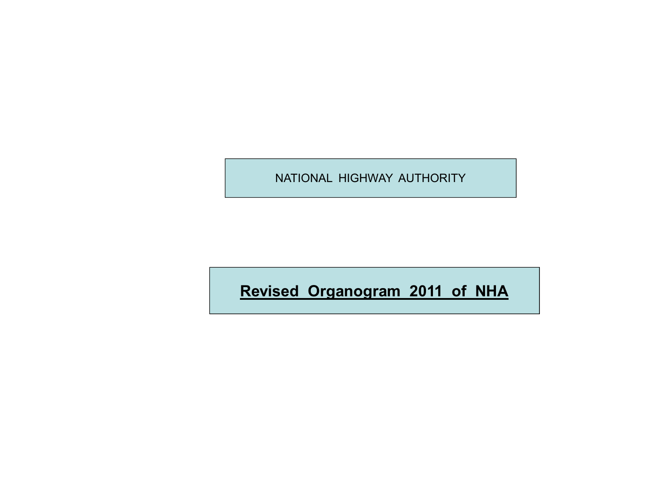**Revised Organogram 2011 of NHA**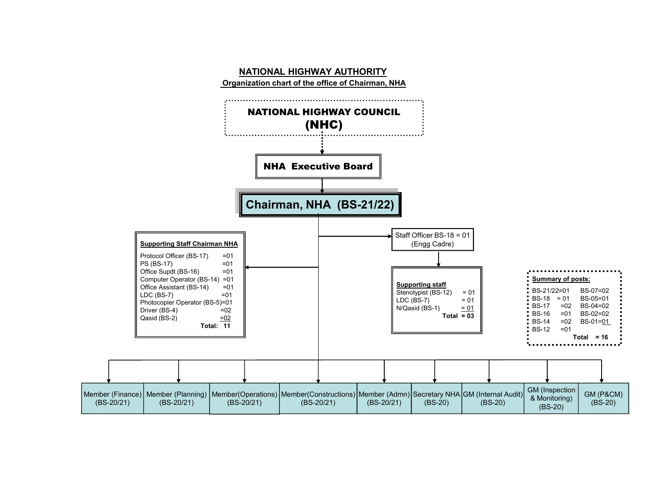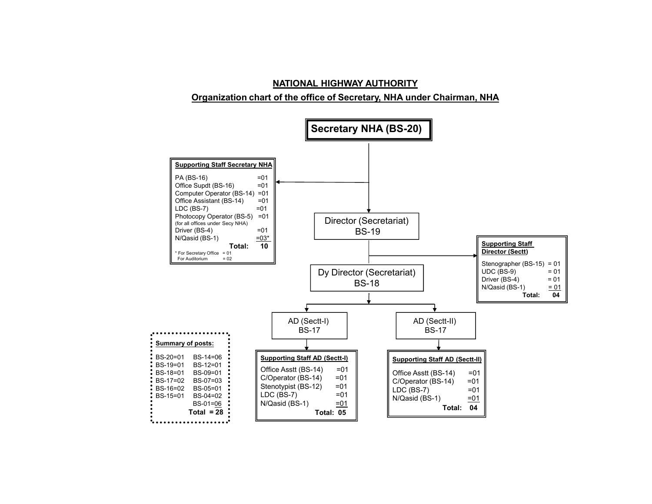# **NATIONAL HIGHWAY AUTHORITY Organization chart of the office of Secretary, NHA under Chairman, NHA**

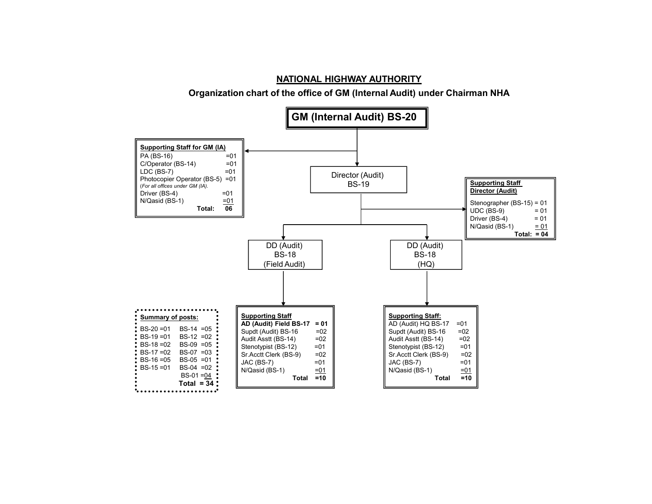**Organization chart of the office of GM (Internal Audit) under Chairman NHA**

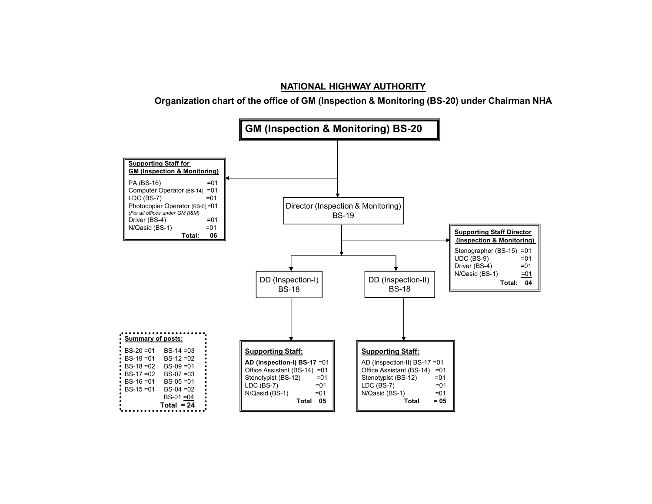**Organization chart of the office of GM (Inspection & Monitoring (BS-20) under Chairman NHA**

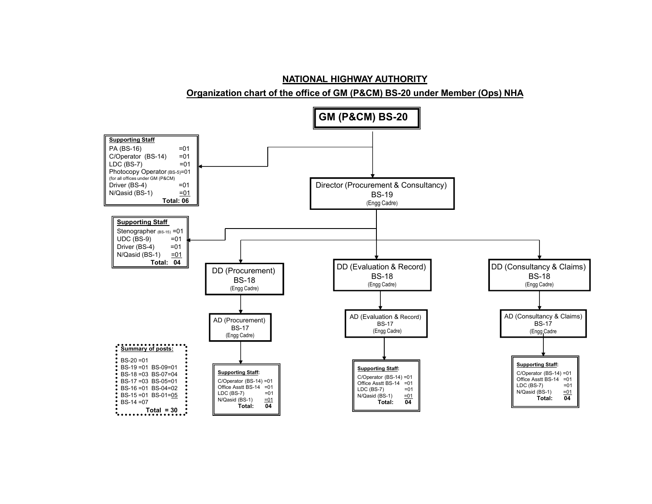**Organization chart of the office of GM (P&CM) BS-20 under Member (Ops) NHA**

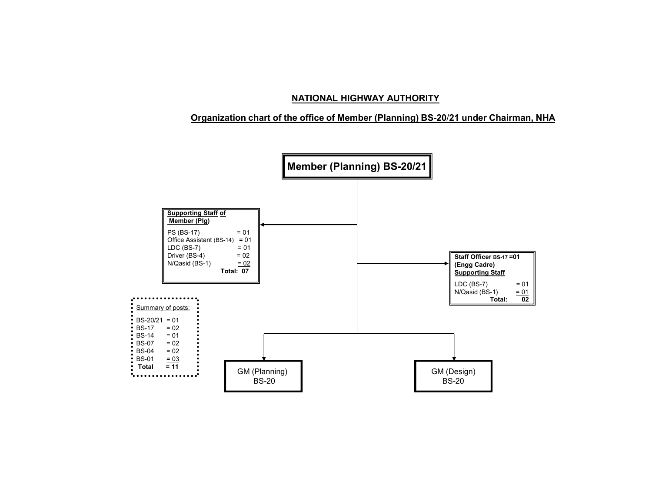# **Organization chart of the office of Member (Planning) BS-20**/**21 under Chairman, NHA**

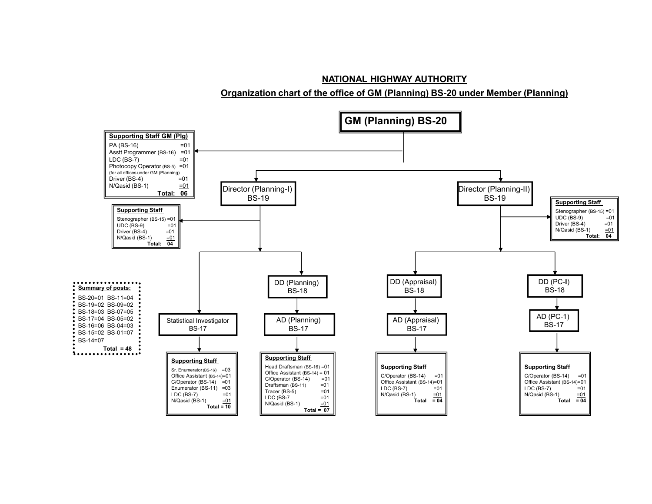**Organization chart of the office of GM (Planning) BS-20 under Member (Planning)**

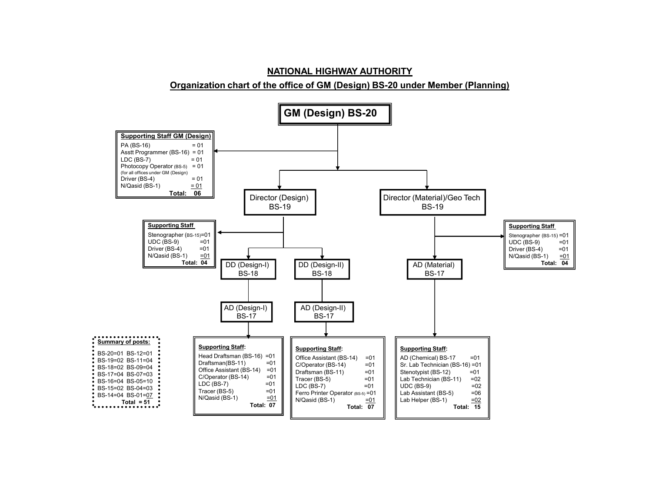## **Organization chart of the office of GM (Design) BS-20 under Member (Planning)**

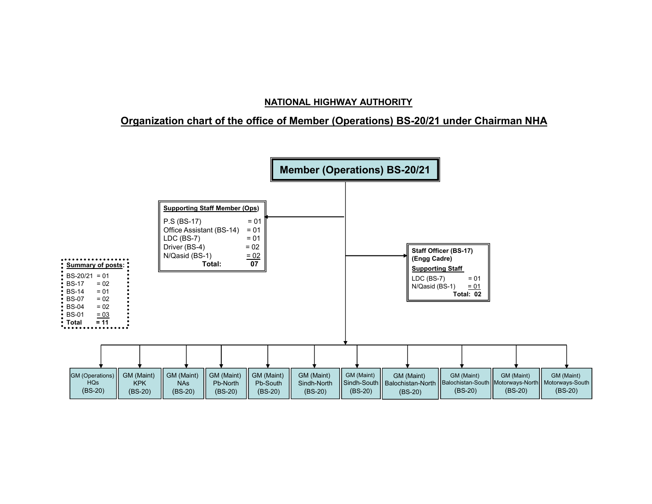# **Organization chart of the office of Member (Operations) BS-20/21 under Chairman NHA**

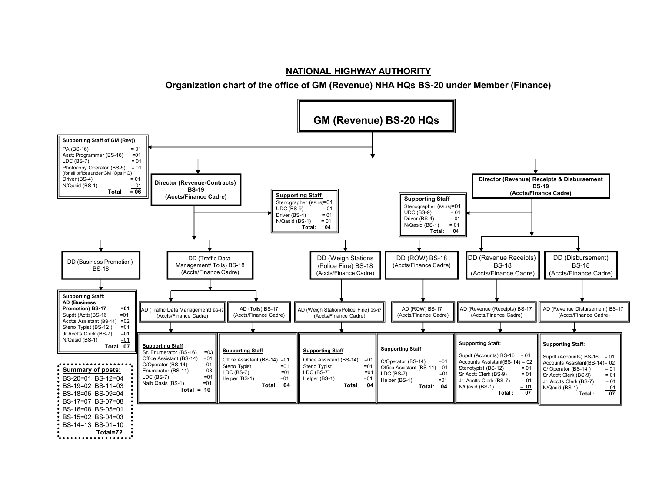**Organization chart of the office of GM (Revenue) NHA HQs BS-20 under Member (Finance)**

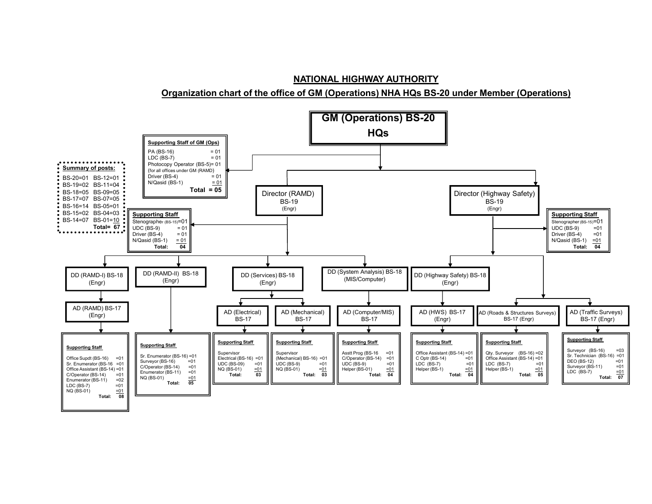#### **Organization chart of the office of GM (Operations) NHA HQs BS-20 under Member (Operations)**

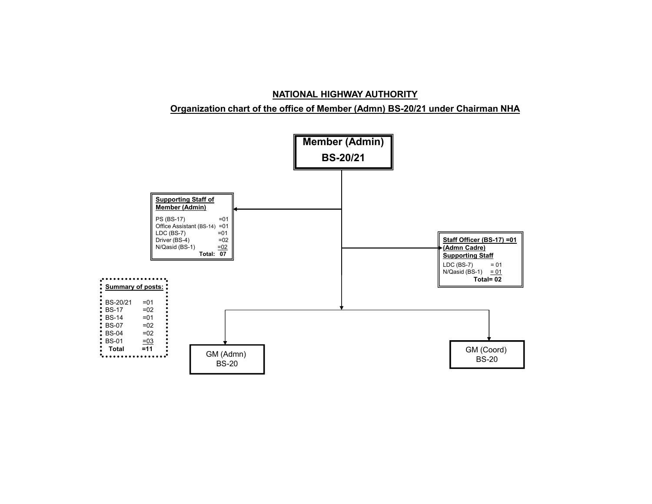# **Organization chart of the office of Member (Admn) BS-20/21 under Chairman NHA**

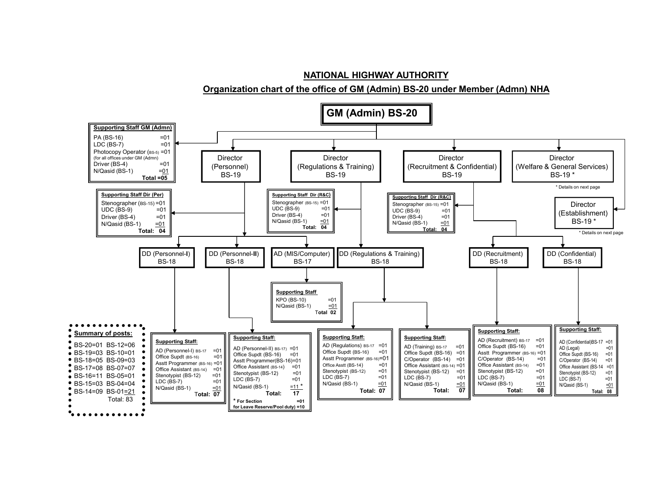**Organization chart of the office of GM (Admin) BS-20 under Member (Admn) NHA**

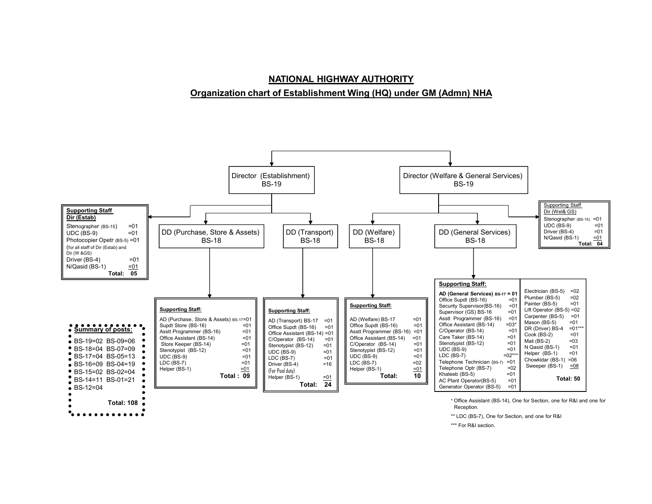# **NATIONAL HIGHWAY AUTHORITY Organization chart of Establishment Wing (HQ) under GM (Admn) NHA**



\*\* LDC (BS-7), One for Section, and one for R&I

\*\*\* For R&I section.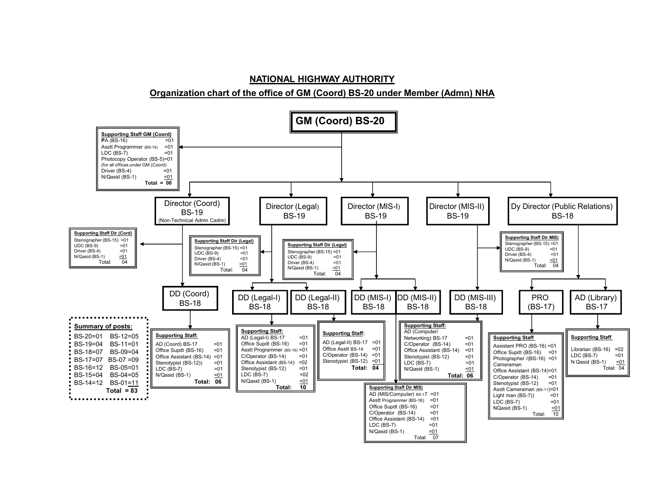# **NATIONAL HIGHWAY AUTHORITY Organization chart of the office of GM (Coord) BS-20 under Member (Admn) NHA**

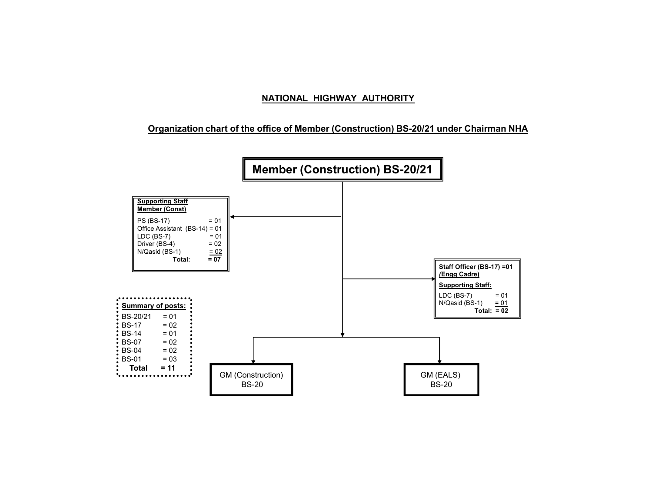# **Organization chart of the office of Member (Construction) BS-20/21 under Chairman NHA**

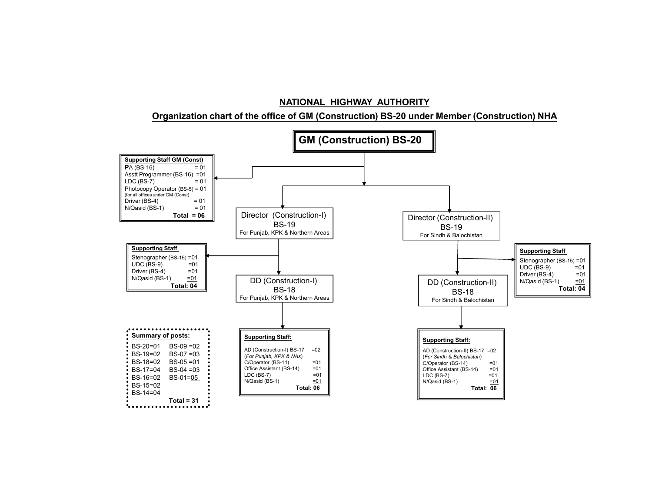**Organization chart of the office of GM (Construction) BS-20 under Member (Construction) NHA**

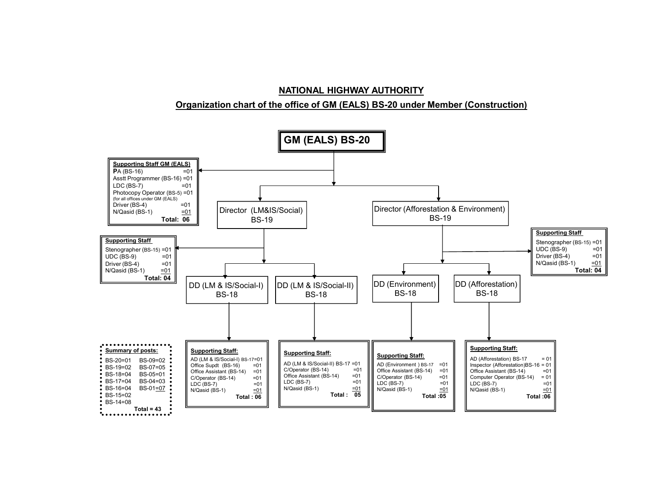#### **Organization chart of the office of GM (EALS) BS-20 under Member (Construction)**

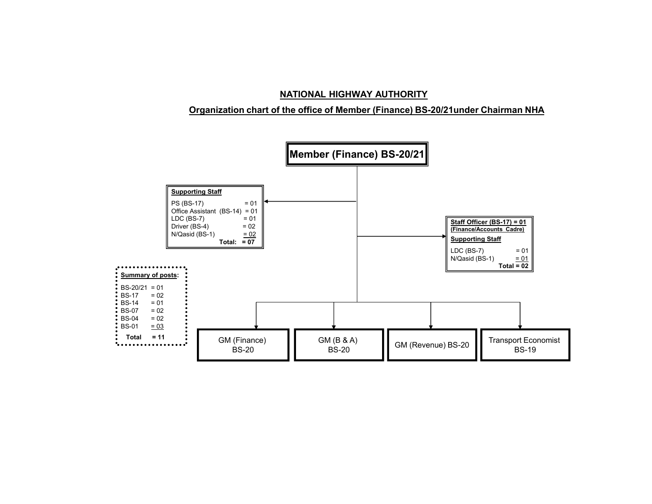# **Organization chart of the office of Member (Finance) BS-20/21under Chairman NHA**

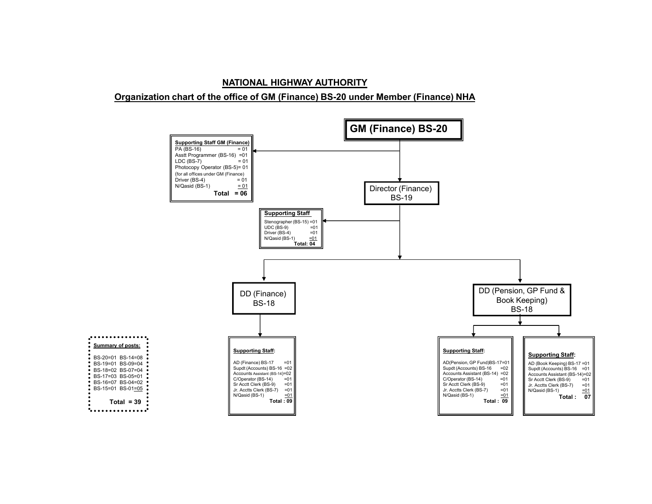# **NATIONAL HIGHWAY AUTHORITY Organization chart of the office of GM (Finance) BS-20 under Member (Finance) NHA**

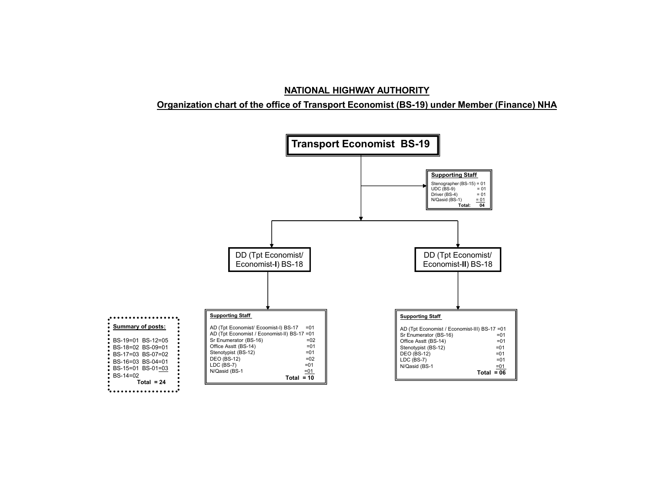# **Organization chart of the office of Transport Economist (BS-19) under Member (Finance) NHA**

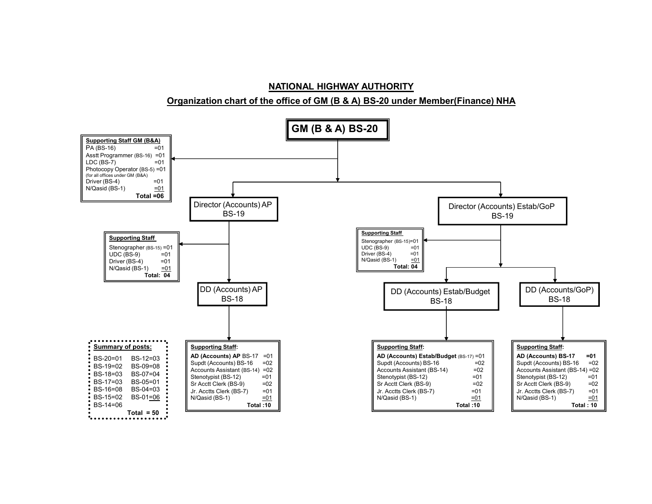

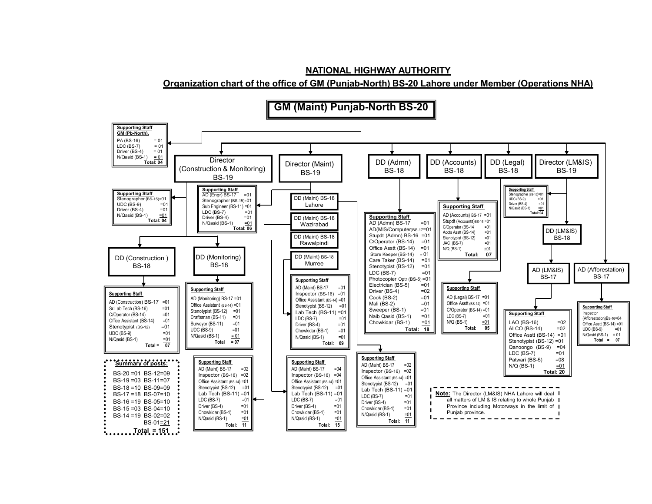**NATIONAL HIGHWAY AUTHORITY Organization chart of the office of GM (Punjab-North) BS-20 Lahore under Member (Operations NHA)**

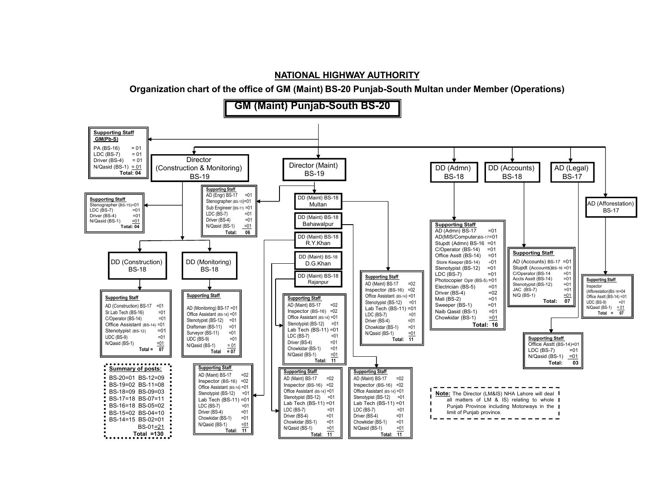**Organization chart of the office of GM (Maint) BS-20 Punjab-South Multan under Member (Operations)**

**GM (Maint) Punjab-South BS-20**

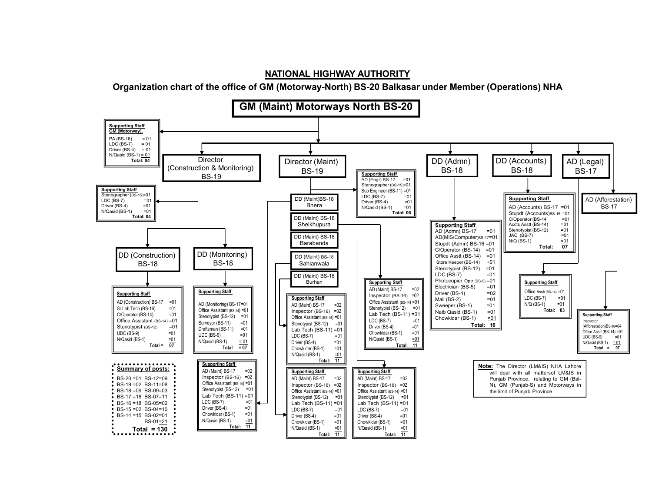**Organization chart of the office of GM (Motorway-North) BS-20 Balkasar under Member (Operations) NHA**

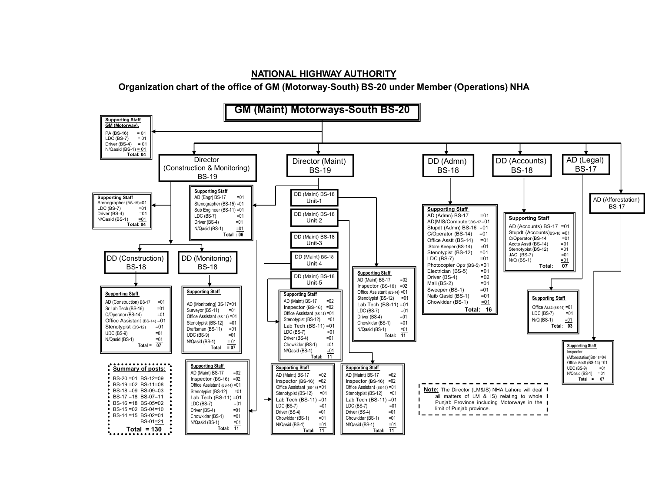# **Organization chart of the office of GM (Motorway-South) BS-20 under Member (Operations) NHA**

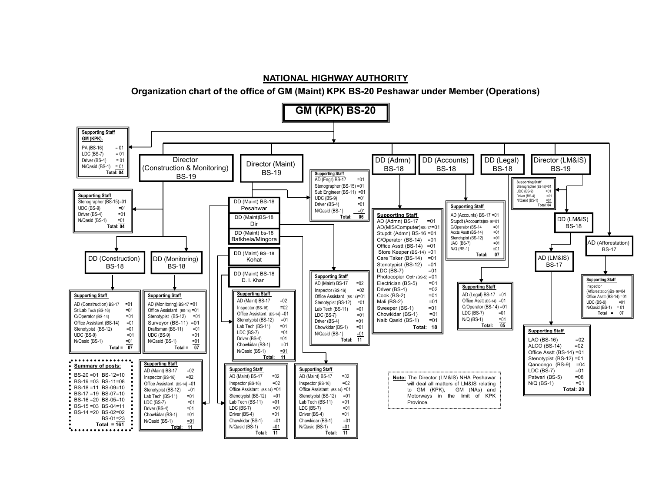**Organization chart of the office of GM (Maint) KPK BS-20 Peshawar under Member (Operations)**

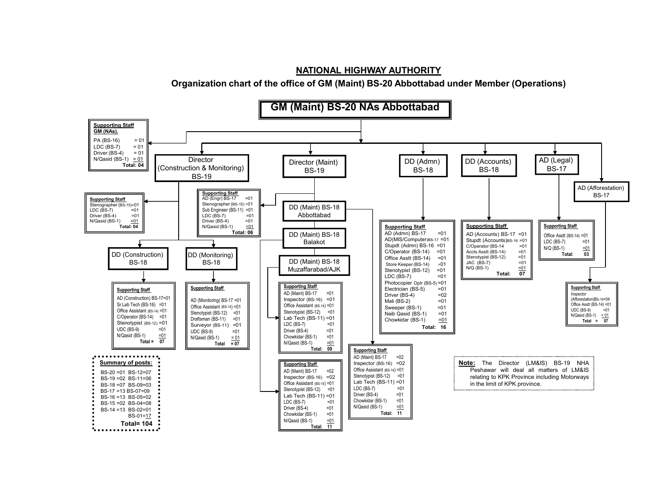**Organization chart of the office of GM (Maint) BS-20 Abbottabad under Member (Operations)**

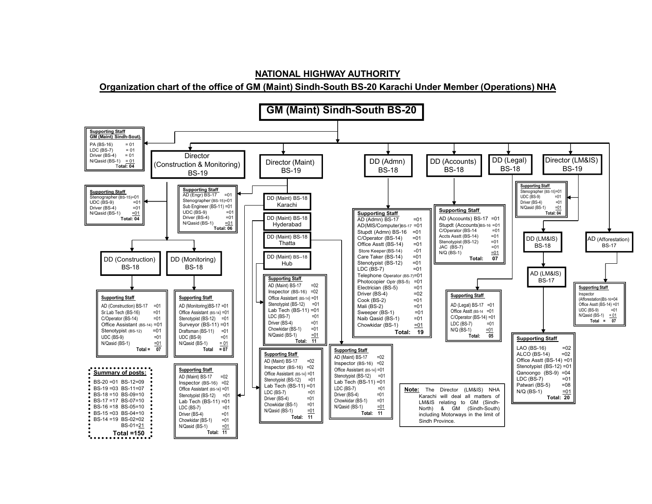## **Organization chart of the office of GM (Maint) Sindh-South BS-20 Karachi Under Member (Operations) NHA**

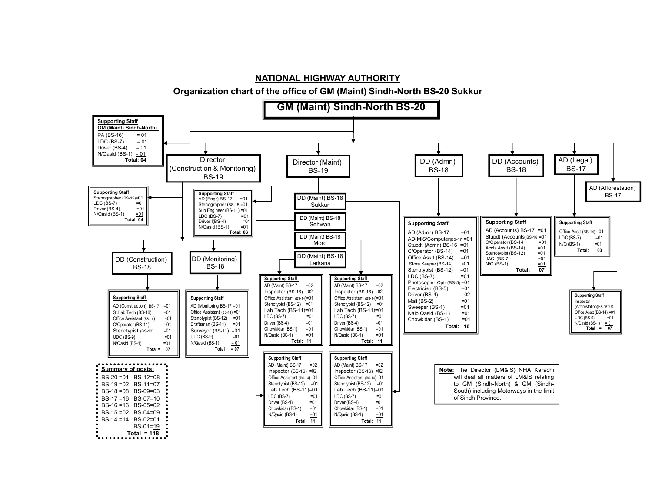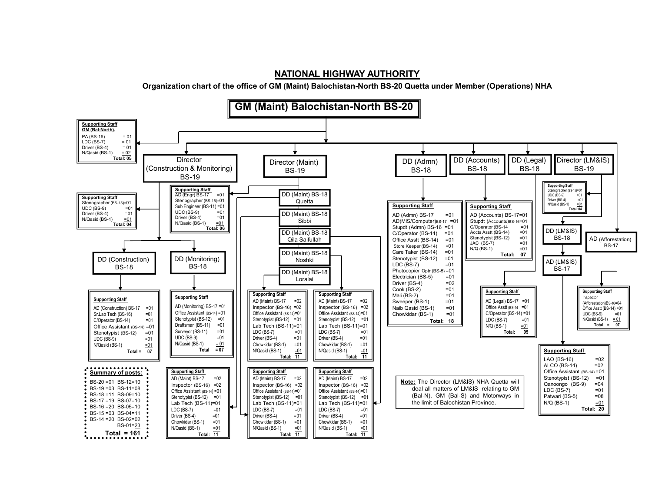**Organization chart of the office of GM (Maint) Balochistan-North BS-20 Quetta under Member (Operations) NHA**